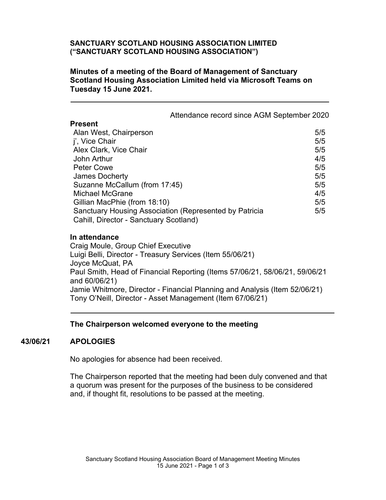# **SANCTUARY SCOTLAND HOUSING ASSOCIATION LIMITED ("SANCTUARY SCOTLAND HOUSING ASSOCIATION")**

### **Minutes of a meeting of the Board of Management of Sanctuary Scotland Housing Association Limited held via Microsoft Teams on Tuesday 15 June 2021.**

|                                                                                                  | Attendance record since AGM September 2020 |
|--------------------------------------------------------------------------------------------------|--------------------------------------------|
| <b>Present</b>                                                                                   |                                            |
| Alan West, Chairperson                                                                           | 5/5                                        |
| j', Vice Chair                                                                                   | 5/5                                        |
| Alex Clark, Vice Chair                                                                           | 5/5                                        |
| John Arthur                                                                                      | 4/5                                        |
| <b>Peter Cowe</b>                                                                                | 5/5                                        |
| James Docherty                                                                                   | 5/5                                        |
| Suzanne McCallum (from 17:45)                                                                    | 5/5                                        |
| <b>Michael McGrane</b>                                                                           | 4/5                                        |
| Gillian MacPhie (from 18:10)                                                                     | 5/5                                        |
| Sanctuary Housing Association (Represented by Patricia<br>Cahill, Director - Sanctuary Scotland) | 5/5                                        |

#### **In attendance**

Craig Moule, Group Chief Executive Luigi Belli, Director - Treasury Services (Item 55/06/21) Joyce McQuat, PA Paul Smith, Head of Financial Reporting (Items 57/06/21, 58/06/21, 59/06/21 and 60/06/21) Jamie Whitmore, Director - Financial Planning and Analysis (Item 52/06/21) Tony O'Neill, Director - Asset Management (Item 67/06/21)

#### **The Chairperson welcomed everyone to the meeting**

# **43/06/21 APOLOGIES**

No apologies for absence had been received.

The Chairperson reported that the meeting had been duly convened and that a quorum was present for the purposes of the business to be considered and, if thought fit, resolutions to be passed at the meeting.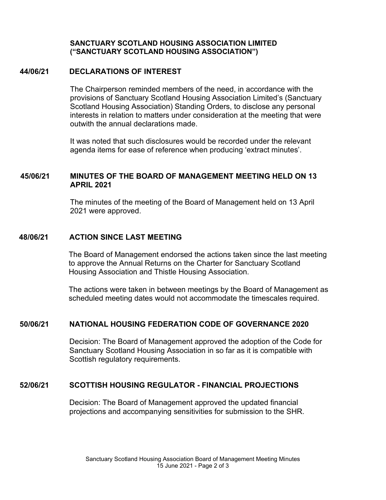### **SANCTUARY SCOTLAND HOUSING ASSOCIATION LIMITED ("SANCTUARY SCOTLAND HOUSING ASSOCIATION")**

#### **44/06/21 DECLARATIONS OF INTEREST**

The Chairperson reminded members of the need, in accordance with the provisions of Sanctuary Scotland Housing Association Limited's (Sanctuary Scotland Housing Association) Standing Orders, to disclose any personal interests in relation to matters under consideration at the meeting that were outwith the annual declarations made.

It was noted that such disclosures would be recorded under the relevant agenda items for ease of reference when producing 'extract minutes'.

# **45/06/21 MINUTES OF THE BOARD OF MANAGEMENT MEETING HELD ON 13 APRIL 2021**

The minutes of the meeting of the Board of Management held on 13 April 2021 were approved.

# **48/06/21 ACTION SINCE LAST MEETING**

The Board of Management endorsed the actions taken since the last meeting to approve the Annual Returns on the Charter for Sanctuary Scotland Housing Association and Thistle Housing Association.

The actions were taken in between meetings by the Board of Management as scheduled meeting dates would not accommodate the timescales required.

# **50/06/21 NATIONAL HOUSING FEDERATION CODE OF GOVERNANCE 2020**

Decision: The Board of Management approved the adoption of the Code for Sanctuary Scotland Housing Association in so far as it is compatible with Scottish regulatory requirements.

# **52/06/21 SCOTTISH HOUSING REGULATOR - FINANCIAL PROJECTIONS**

Decision: The Board of Management approved the updated financial projections and accompanying sensitivities for submission to the SHR.